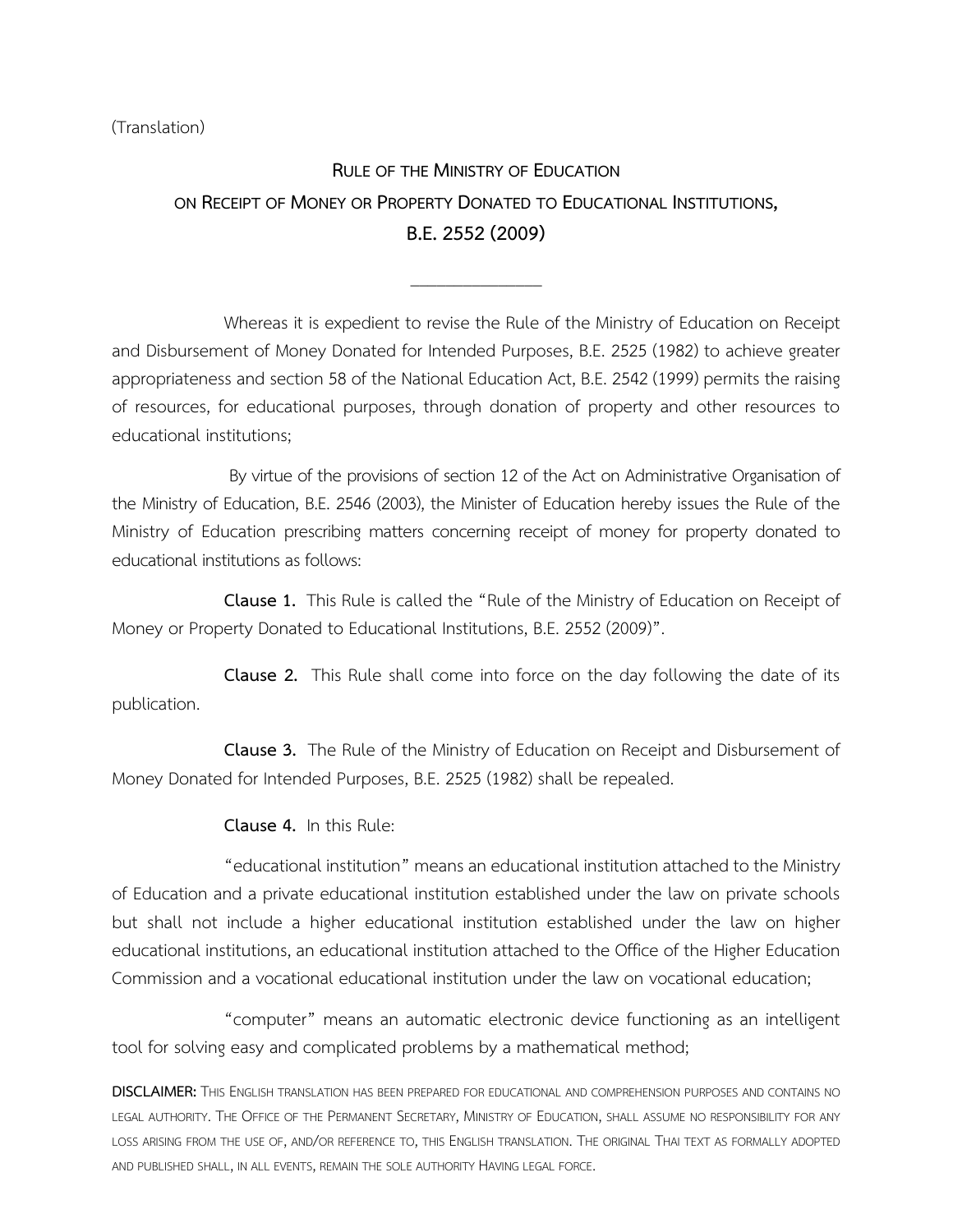(Translation)

# **RULE OF THE MINISTRY OF EDUCATION ON RECEIPT OF MONEY OR PROPERTY DONATED TO EDUCATIONAL INSTITUTIONS, B.E.2552(2009)**

\_\_\_\_\_\_\_\_\_\_\_\_\_\_\_

Whereas it is expedient to revise the Rule of the Ministry of Education on Receipt and Disbursement of Money Donated for Intended Purposes, B.E. 2525 (1982) to achieve greater appropriateness and section 58 of the National Education Act, B.E. 2542 (1999) permits the raising of resources, for educational purposes, through donation of property and other resources to educational institutions;

By virtue of the provisions of section 12 of the Act on Administrative Organisation of the Ministry of Education, B.E. 2546 (2003), the Minister of Education hereby issues the Rule of the Ministry of Education prescribing matters concerning receipt of money for property donated to educational institutions as follows:

**Clause 1.** This Rule is called the "Rule of the Ministry of Education on Receipt of Money or Property Donated to Educational Institutions, B.E. 2552 (2009)".

**Clause 2.** This Rule shall come into force on the day following the date of its publication.

**Clause 3.** The Rule of the Ministry of Education on Receipt and Disbursement of Money Donated for Intended Purposes, B.E. 2525 (1982) shall be repealed.

**Clause 4.** In this Rule:

"educational institution" means an educational institution attached to the Ministry of Education and a private educational institution established under the law on private schools but shall not include a higher educational institution established under the law on higher educational institutions, an educational institution attached to the Office of the Higher Education Commission and a vocational educational institution under the law on vocational education;

"computer" means an automatic electronic device functioning as an intelligent tool for solving easy and complicated problems by a mathematical method;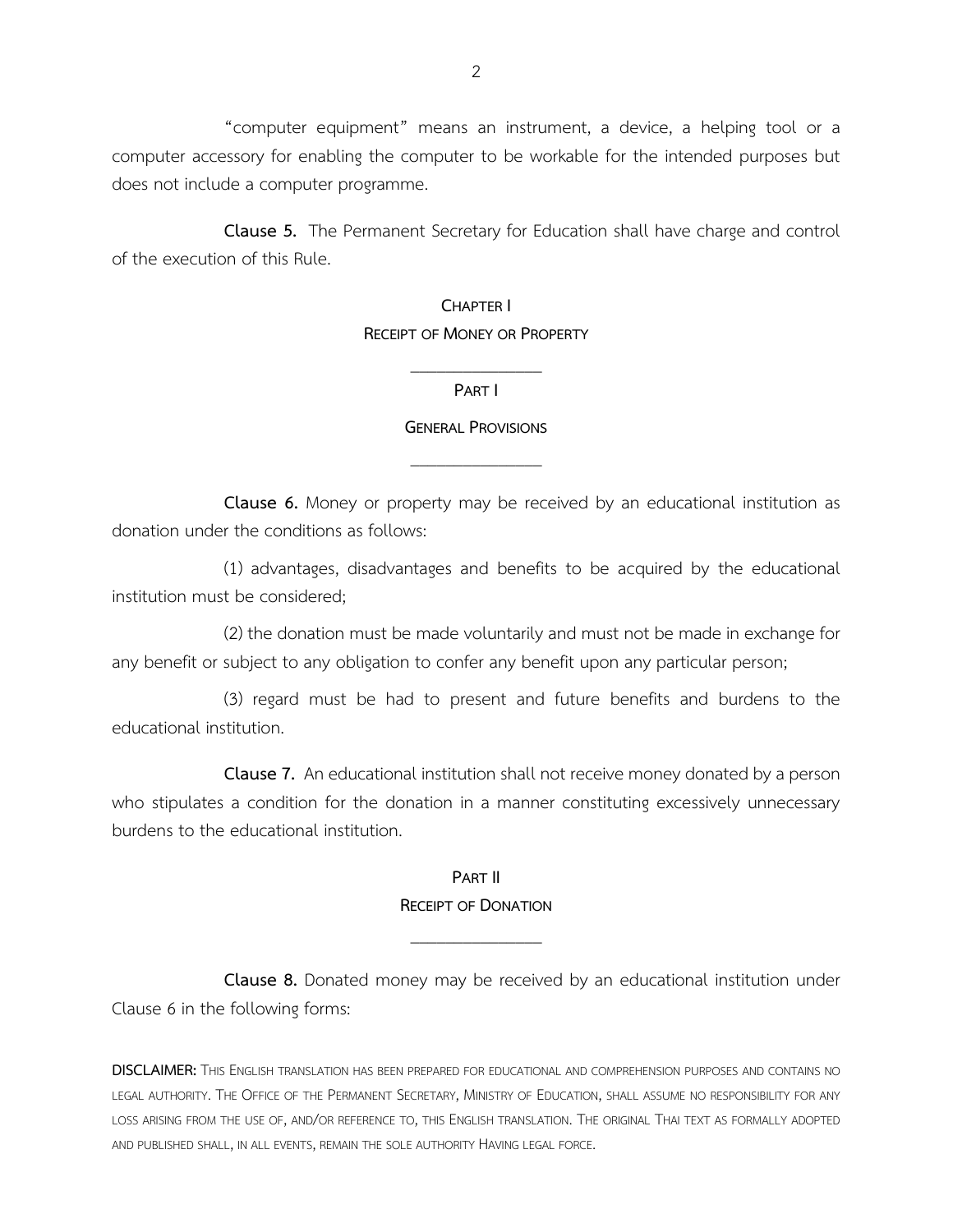"computer equipment" means an instrument, a device, a helping tool or a computer accessory for enabling the computer to be workable for the intended purposes but does not include a computer programme.

**Clause 5.** The Permanent Secretary for Education shall have charge and control of the execution of this Rule.

#### **CHAPTER I RECEIPT OF MONEY OR PROPERTY**

### \_\_\_\_\_\_\_\_\_\_\_\_\_\_\_ **PART I**

### **GENERAL PROVISIONS** \_\_\_\_\_\_\_\_\_\_\_\_\_\_\_

**Clause 6.** Money or property may be received by an educational institution as donation under the conditions as follows:

(1) advantages, disadvantages and benefits to be acquired by the educational institution must be considered;

(2) the donation must be made voluntarily and must not be made in exchange for any benefit or subject to any obligation to confer any benefit upon any particular person;

(3) regard must be had to present and future benefits and burdens to the educational institution.

**Clause 7.** An educational institution shall not receive money donated by a person who stipulates a condition for the donation in a manner constituting excessively unnecessary burdens to the educational institution.

#### **PART II RECEIPT OF DONATION**

\_\_\_\_\_\_\_\_\_\_\_\_\_\_\_

**Clause 8.** Donated money may be received by an educational institution under Clause 6 in the following forms: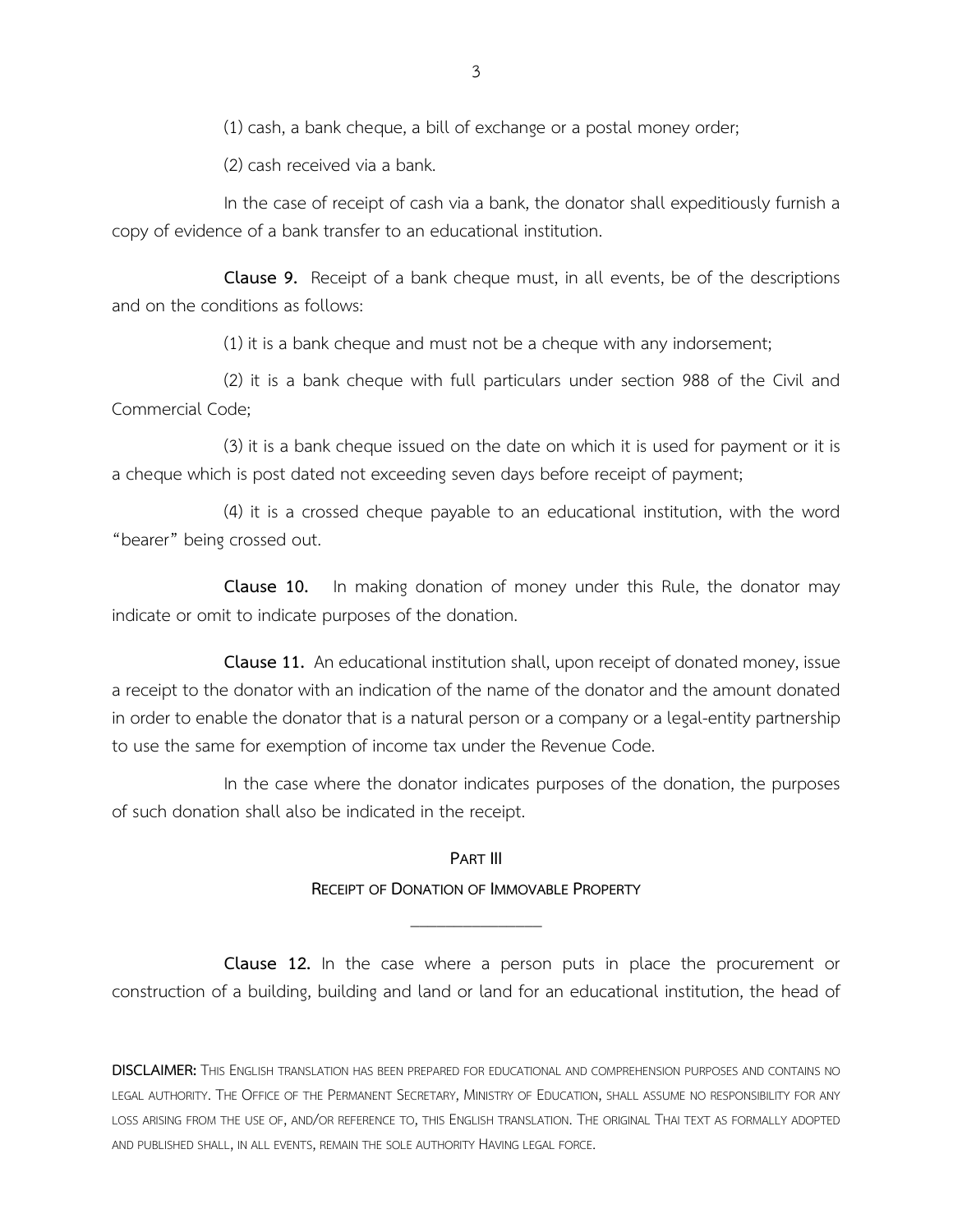(1) cash, a bank cheque, a bill of exchange or a postal money order;

(2) cash received via a bank.

In the case of receipt of cash via a bank, the donator shall expeditiously furnish a copy of evidence of a bank transfer to an educational institution.

**Clause 9.** Receipt of a bank cheque must, in all events, be of the descriptions and on the conditions as follows:

(1) it is a bank cheque and must not be a cheque with any indorsement;

(2) it is a bank cheque with full particulars under section 988 of the Civil and Commercial Code;

(3) it is a bank cheque issued on the date on which it is used for payment or it is a cheque which is post dated not exceeding seven days before receipt of payment;

(4) it is a crossed cheque payable to an educational institution, with the word "bearer" being crossed out.

**Clause 10.** In making donation of money under this Rule, the donator may indicate or omit to indicate purposes of the donation.

**Clause 11.** An educational institution shall, upon receipt of donated money, issue a receipt to the donator with an indication of the name of the donator and the amount donated in order to enable the donator that is a natural person or a company or a legal-entity partnership to use the same for exemption of income tax under the Revenue Code.

In the case where the donator indicates purposes of the donation, the purposes of such donation shall also be indicated in the receipt.

#### **PART III**

### **RECEIPT OF DONATION OF IMMOVABLE PROPERTY** \_\_\_\_\_\_\_\_\_\_\_\_\_\_\_

**Clause 12.** In the case where a person puts in place the procurement or construction of a building, building and land or land for an educational institution, the head of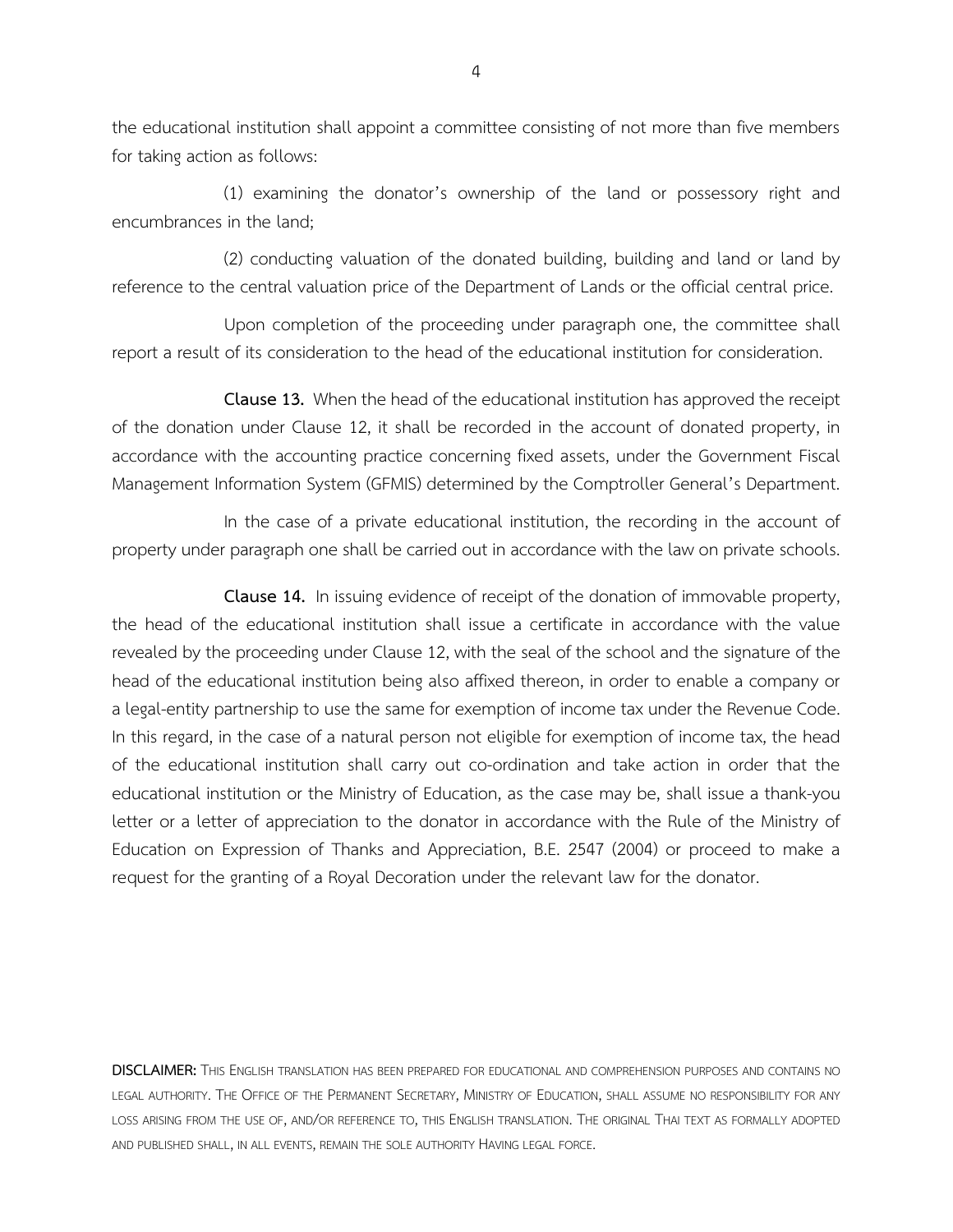the educational institution shall appoint a committee consisting of not more than five members for taking action as follows:

(1) examining the donator's ownership of the land or possessory right and encumbrances in the land;

(2) conducting valuation of the donated building, building and land or land by reference to the central valuation price of the Department of Lands or the official central price.

Upon completion of the proceeding under paragraph one, the committee shall report a result of its consideration to the head of the educational institution for consideration.

**Clause 13.** When the head of the educational institution has approved the receipt of the donation under Clause 12, it shall be recorded in the account of donated property, in accordance with the accounting practice concerning fixed assets, under the Government Fiscal Management Information System (GFMIS) determined by the Comptroller General's Department.

In the case of a private educational institution, the recording in the account of property under paragraph one shall be carried out in accordance with the law on private schools.

**Clause 14.** In issuing evidence of receipt of the donation of immovable property, the head of the educational institution shall issue a certificate in accordance with the value revealed by the proceeding under Clause 12, with the seal of the school and the signature of the head of the educational institution being also affixed thereon, in order to enable a company or a legal-entity partnership to use the same for exemption of income tax under the Revenue Code. In this regard, in the case of a natural person not eligible for exemption of income tax, the head of the educational institution shall carry out co-ordination and take action in order that the educational institution or the Ministry of Education, as the case may be, shall issue a thank-you letter or a letter of appreciation to the donator in accordance with the Rule of the Ministry of Education on Expression of Thanks and Appreciation, B.E. 2547 (2004) or proceed to make a request for the granting of a Royal Decoration under the relevant law for the donator.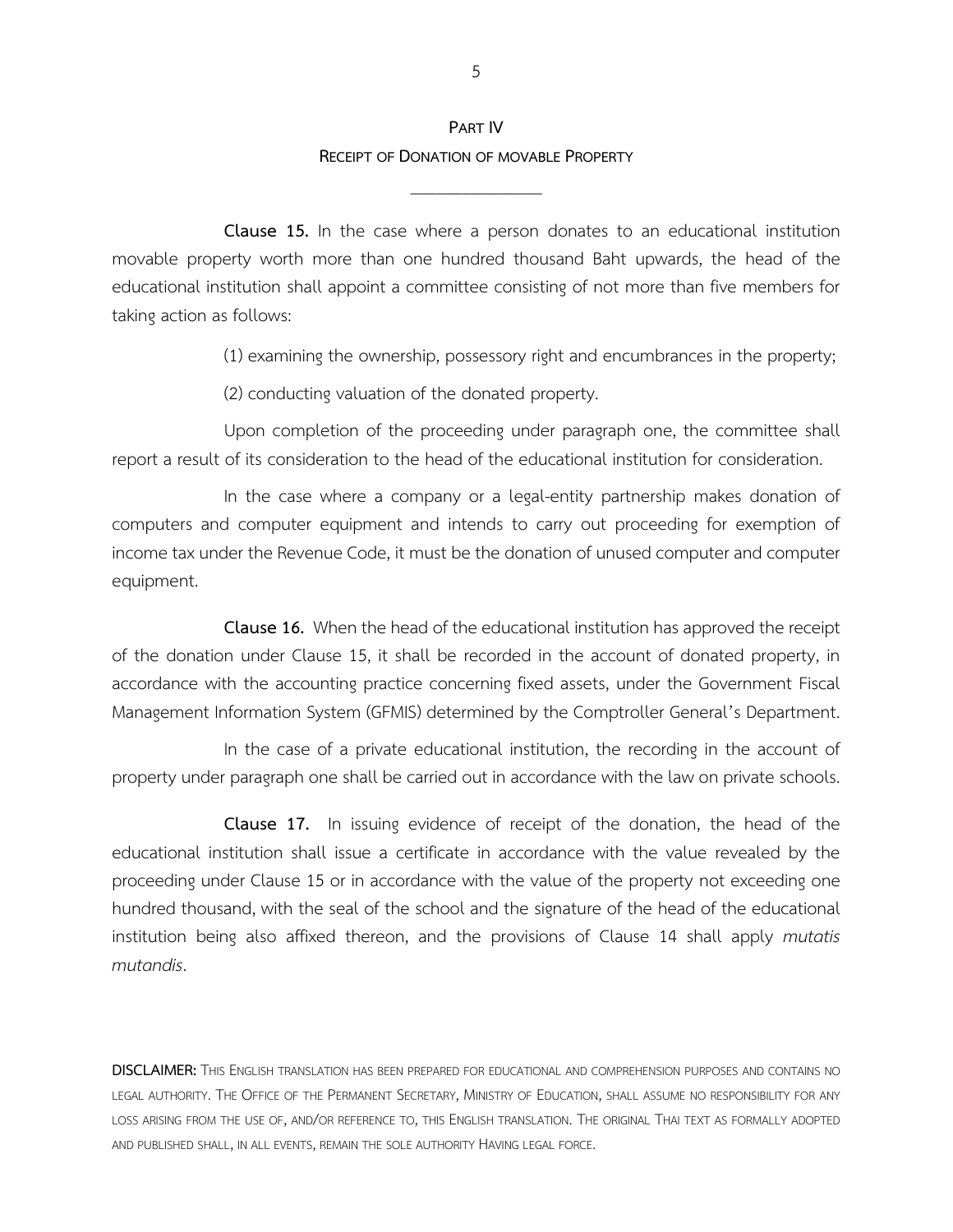### **PART IV RECEIPT OF DONATION OF MOVABLE PROPERTY**

\_\_\_\_\_\_\_\_\_\_\_\_\_\_\_

**Clause 15.** In the case where a person donates to an educational institution movable property worth more than one hundred thousand Baht upwards, the head of the educational institution shall appoint a committee consisting of not more than five members for taking action as follows:

(1) examining the ownership, possessory right and encumbrances in the property;

(2) conducting valuation of the donated property.

Upon completion of the proceeding under paragraph one, the committee shall report a result of its consideration to the head of the educational institution for consideration.

In the case where a company or a legal-entity partnership makes donation of computers and computer equipment and intends to carry out proceeding for exemption of income tax under the Revenue Code, it must be the donation of unused computer and computer equipment.

**Clause 16.** When the head of the educational institution has approved the receipt of the donation under Clause 15, it shall be recorded in the account of donated property, in accordance with the accounting practice concerning fixed assets, under the Government Fiscal Management Information System (GFMIS) determined by the Comptroller General's Department.

In the case of a private educational institution, the recording in the account of property under paragraph one shall be carried out in accordance with the law on private schools.

**Clause 17.** In issuing evidence of receipt of the donation, the head of the educational institution shall issue a certificate in accordance with the value revealed by the proceeding under Clause 15 or in accordance with the value of the property not exceeding one hundred thousand, with the seal of the school and the signature of the head of the educational institution being also affixed thereon, and the provisions of Clause 14 shall apply *mutatis mutandis*.